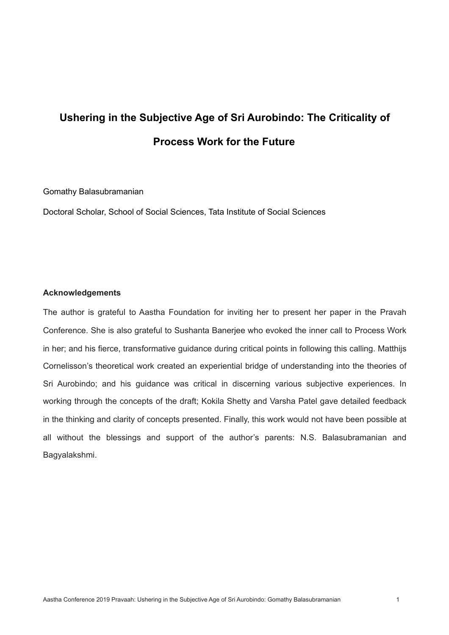## **Ushering in the Subjective Age of Sri Aurobindo: The Criticality of Process Work for the Future**

Gomathy Balasubramanian

Doctoral Scholar, School of Social Sciences, Tata Institute of Social Sciences

## **Acknowledgements**

The author is grateful to Aastha Foundation for inviting her to present her paper in the Pravah Conference. She is also grateful to Sushanta Banerjee who evoked the inner call to Process Work in her; and his fierce, transformative guidance during critical points in following this calling. Matthijs Cornelisson's theoretical work created an experiential bridge of understanding into the theories of Sri Aurobindo; and his guidance was critical in discerning various subjective experiences. In working through the concepts of the draft; Kokila Shetty and Varsha Patel gave detailed feedback in the thinking and clarity of concepts presented. Finally, this work would not have been possible at all without the blessings and support of the author's parents: N.S. Balasubramanian and Bagyalakshmi.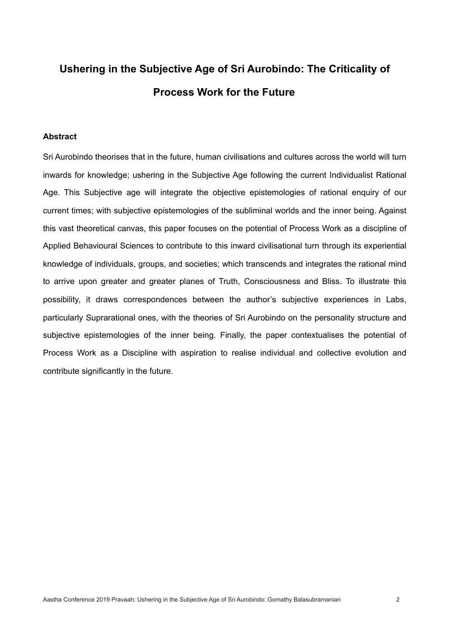# **Ushering in the Subjective Age of Sri Aurobindo: The Criticality of Process Work for the Future**

#### **Abstract**

Sri Aurobindo theorises that in the future, human civilisations and cultures across the world will turn inwards for knowledge; ushering in the Subjective Age following the current Individualist Rational Age. This Subjective age will integrate the objective epistemologies of rational enquiry of our current times; with subjective epistemologies of the subliminal worlds and the inner being. Against this vast theoretical canvas, this paper focuses on the potential of Process Work as a discipline of Applied Behavioural Sciences to contribute to this inward civilisational turn through its experiential knowledge of individuals, groups, and societies; which transcends and integrates the rational mind to arrive upon greater and greater planes of Truth, Consciousness and Bliss. To illustrate this possibility, it draws correspondences between the author's subjective experiences in Labs, particularly Suprarational ones, with the theories of Sri Aurobindo on the personality structure and subjective epistemologies of the inner being. Finally, the paper contextualises the potential of Process Work as a Discipline with aspiration to realise individual and collective evolution and contribute significantly in the future.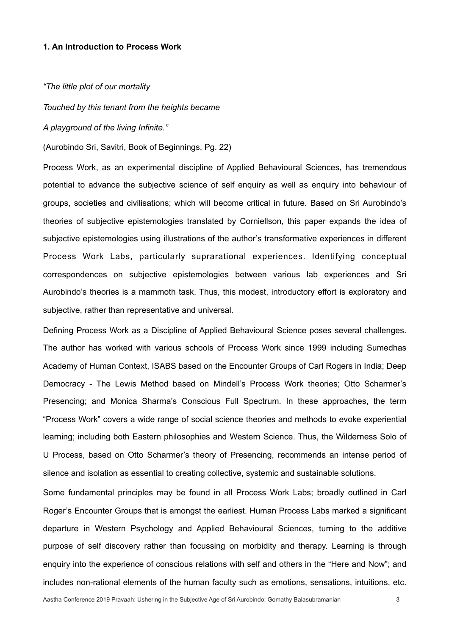#### **1. An Introduction to Process Work**

*"The little plot of our mortality* 

*Touched by this tenant from the heights became* 

*A playground of the living Infinite."* 

(Aurobindo Sri, Savitri, Book of Beginnings, Pg. 22)

Process Work, as an experimental discipline of Applied Behavioural Sciences, has tremendous potential to advance the subjective science of self enquiry as well as enquiry into behaviour of groups, societies and civilisations; which will become critical in future. Based on Sri Aurobindo's theories of subjective epistemologies translated by Corniellson, this paper expands the idea of subjective epistemologies using illustrations of the author's transformative experiences in different Process Work Labs, particularly suprarational experiences. Identifying conceptual correspondences on subjective epistemologies between various lab experiences and Sri Aurobindo's theories is a mammoth task. Thus, this modest, introductory effort is exploratory and subjective, rather than representative and universal.

Defining Process Work as a Discipline of Applied Behavioural Science poses several challenges. The author has worked with various schools of Process Work since 1999 including Sumedhas Academy of Human Context, ISABS based on the Encounter Groups of Carl Rogers in India; Deep Democracy - The Lewis Method based on Mindell's Process Work theories; Otto Scharmer's Presencing; and Monica Sharma's Conscious Full Spectrum. In these approaches, the term "Process Work" covers a wide range of social science theories and methods to evoke experiential learning; including both Eastern philosophies and Western Science. Thus, the Wilderness Solo of U Process, based on Otto Scharmer's theory of Presencing, recommends an intense period of silence and isolation as essential to creating collective, systemic and sustainable solutions.

Some fundamental principles may be found in all Process Work Labs; broadly outlined in Carl Roger's Encounter Groups that is amongst the earliest. Human Process Labs marked a significant departure in Western Psychology and Applied Behavioural Sciences, turning to the additive purpose of self discovery rather than focussing on morbidity and therapy. Learning is through enquiry into the experience of conscious relations with self and others in the "Here and Now"; and includes non-rational elements of the human faculty such as emotions, sensations, intuitions, etc.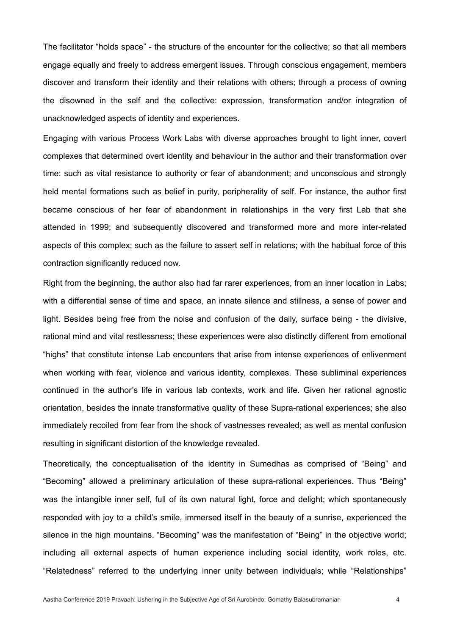The facilitator "holds space" - the structure of the encounter for the collective; so that all members engage equally and freely to address emergent issues. Through conscious engagement, members discover and transform their identity and their relations with others; through a process of owning the disowned in the self and the collective: expression, transformation and/or integration of unacknowledged aspects of identity and experiences.

Engaging with various Process Work Labs with diverse approaches brought to light inner, covert complexes that determined overt identity and behaviour in the author and their transformation over time: such as vital resistance to authority or fear of abandonment; and unconscious and strongly held mental formations such as belief in purity, peripherality of self. For instance, the author first became conscious of her fear of abandonment in relationships in the very first Lab that she attended in 1999; and subsequently discovered and transformed more and more inter-related aspects of this complex; such as the failure to assert self in relations; with the habitual force of this contraction significantly reduced now.

Right from the beginning, the author also had far rarer experiences, from an inner location in Labs; with a differential sense of time and space, an innate silence and stillness, a sense of power and light. Besides being free from the noise and confusion of the daily, surface being - the divisive, rational mind and vital restlessness; these experiences were also distinctly different from emotional "highs" that constitute intense Lab encounters that arise from intense experiences of enlivenment when working with fear, violence and various identity, complexes. These subliminal experiences continued in the author's life in various lab contexts, work and life. Given her rational agnostic orientation, besides the innate transformative quality of these Supra-rational experiences; she also immediately recoiled from fear from the shock of vastnesses revealed; as well as mental confusion resulting in significant distortion of the knowledge revealed.

Theoretically, the conceptualisation of the identity in Sumedhas as comprised of "Being" and "Becoming" allowed a preliminary articulation of these supra-rational experiences. Thus "Being" was the intangible inner self, full of its own natural light, force and delight; which spontaneously responded with joy to a child's smile, immersed itself in the beauty of a sunrise, experienced the silence in the high mountains. "Becoming" was the manifestation of "Being" in the objective world; including all external aspects of human experience including social identity, work roles, etc. "Relatedness" referred to the underlying inner unity between individuals; while "Relationships"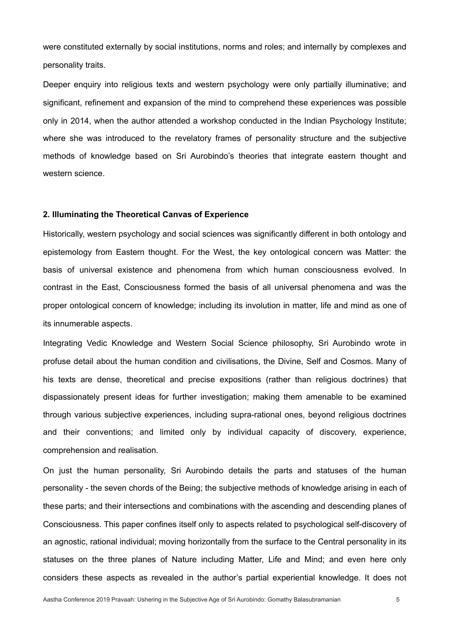were constituted externally by social institutions, norms and roles; and internally by complexes and personality traits.

Deeper enquiry into religious texts and western psychology were only partially illuminative; and significant, refinement and expansion of the mind to comprehend these experiences was possible only in 2014, when the author attended a workshop conducted in the Indian Psychology Institute; where she was introduced to the revelatory frames of personality structure and the subjective methods of knowledge based on Sri Aurobindo's theories that integrate eastern thought and western science.

#### **2. Illuminating the Theoretical Canvas of Experience**

Historically, western psychology and social sciences was significantly different in both ontology and epistemology from Eastern thought. For the West, the key ontological concern was Matter: the basis of universal existence and phenomena from which human consciousness evolved. In contrast in the East, Consciousness formed the basis of all universal phenomena and was the proper ontological concern of knowledge; including its involution in matter, life and mind as one of its innumerable aspects.

Integrating Vedic Knowledge and Western Social Science philosophy, Sri Aurobindo wrote in profuse detail about the human condition and civilisations, the Divine, Self and Cosmos. Many of his texts are dense, theoretical and precise expositions (rather than religious doctrines) that dispassionately present ideas for further investigation; making them amenable to be examined through various subjective experiences, including supra-rational ones, beyond religious doctrines and their conventions; and limited only by individual capacity of discovery, experience, comprehension and realisation.

On just the human personality, Sri Aurobindo details the parts and statuses of the human personality - the seven chords of the Being; the subjective methods of knowledge arising in each of these parts; and their intersections and combinations with the ascending and descending planes of Consciousness. This paper confines itself only to aspects related to psychological self-discovery of an agnostic, rational individual; moving horizontally from the surface to the Central personality in its statuses on the three planes of Nature including Matter, Life and Mind; and even here only considers these aspects as revealed in the author's partial experiential knowledge. It does not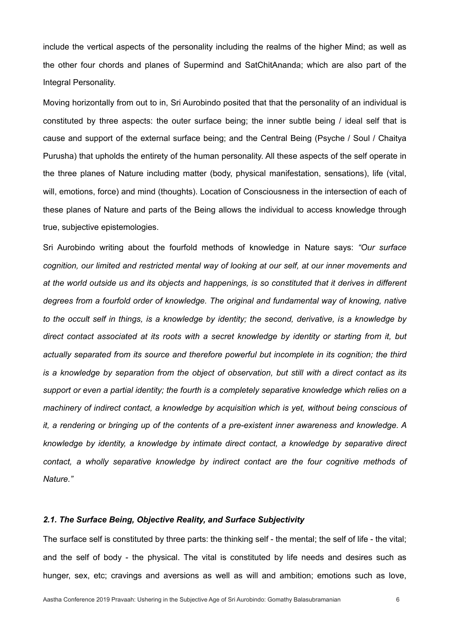include the vertical aspects of the personality including the realms of the higher Mind; as well as the other four chords and planes of Supermind and SatChitAnanda; which are also part of the Integral Personality.

Moving horizontally from out to in, Sri Aurobindo posited that that the personality of an individual is constituted by three aspects: the outer surface being; the inner subtle being / ideal self that is cause and support of the external surface being; and the Central Being (Psyche / Soul / Chaitya Purusha) that upholds the entirety of the human personality. All these aspects of the self operate in the three planes of Nature including matter (body, physical manifestation, sensations), life (vital, will, emotions, force) and mind (thoughts). Location of Consciousness in the intersection of each of these planes of Nature and parts of the Being allows the individual to access knowledge through true, subjective epistemologies.

Sri Aurobindo writing about the fourfold methods of knowledge in Nature says: *"Our surface cognition, our limited and restricted mental way of looking at our self, at our inner movements and at the world outside us and its objects and happenings, is so constituted that it derives in different degrees from a fourfold order of knowledge. The original and fundamental way of knowing, native to the occult self in things, is a knowledge by identity; the second, derivative, is a knowledge by direct contact associated at its roots with a secret knowledge by identity or starting from it, but*  actually separated from its source and therefore powerful but incomplete in its cognition; the third *is a knowledge by separation from the object of observation, but still with a direct contact as its*  support or even a partial identity; the fourth is a completely separative knowledge which relies on a *machinery of indirect contact, a knowledge by acquisition which is yet, without being conscious of it, a rendering or bringing up of the contents of a pre-existent inner awareness and knowledge. A knowledge by identity, a knowledge by intimate direct contact, a knowledge by separative direct contact, a wholly separative knowledge by indirect contact are the four cognitive methods of Nature."*

## *2.1. The Surface Being, Objective Reality, and Surface Subjectivity*

The surface self is constituted by three parts: the thinking self - the mental; the self of life - the vital; and the self of body - the physical. The vital is constituted by life needs and desires such as hunger, sex, etc; cravings and aversions as well as will and ambition; emotions such as love,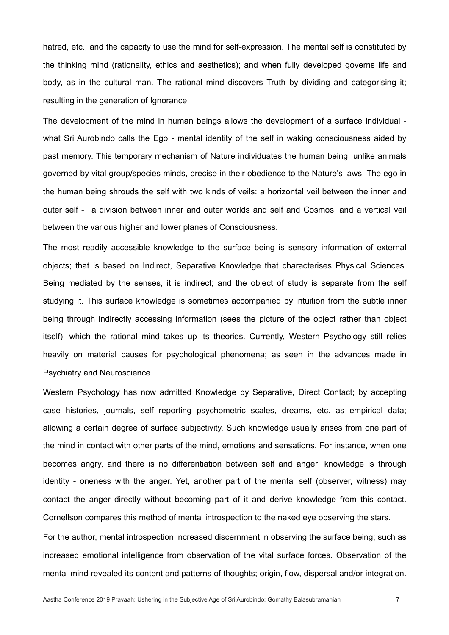hatred, etc.; and the capacity to use the mind for self-expression. The mental self is constituted by the thinking mind (rationality, ethics and aesthetics); and when fully developed governs life and body, as in the cultural man. The rational mind discovers Truth by dividing and categorising it; resulting in the generation of Ignorance.

The development of the mind in human beings allows the development of a surface individual what Sri Aurobindo calls the Ego - mental identity of the self in waking consciousness aided by past memory. This temporary mechanism of Nature individuates the human being; unlike animals governed by vital group/species minds, precise in their obedience to the Nature's laws. The ego in the human being shrouds the self with two kinds of veils: a horizontal veil between the inner and outer self - a division between inner and outer worlds and self and Cosmos; and a vertical veil between the various higher and lower planes of Consciousness.

The most readily accessible knowledge to the surface being is sensory information of external objects; that is based on Indirect, Separative Knowledge that characterises Physical Sciences. Being mediated by the senses, it is indirect; and the object of study is separate from the self studying it. This surface knowledge is sometimes accompanied by intuition from the subtle inner being through indirectly accessing information (sees the picture of the object rather than object itself); which the rational mind takes up its theories. Currently, Western Psychology still relies heavily on material causes for psychological phenomena; as seen in the advances made in Psychiatry and Neuroscience.

Western Psychology has now admitted Knowledge by Separative, Direct Contact; by accepting case histories, journals, self reporting psychometric scales, dreams, etc. as empirical data; allowing a certain degree of surface subjectivity. Such knowledge usually arises from one part of the mind in contact with other parts of the mind, emotions and sensations. For instance, when one becomes angry, and there is no differentiation between self and anger; knowledge is through identity - oneness with the anger. Yet, another part of the mental self (observer, witness) may contact the anger directly without becoming part of it and derive knowledge from this contact. Cornellson compares this method of mental introspection to the naked eye observing the stars.

For the author, mental introspection increased discernment in observing the surface being; such as increased emotional intelligence from observation of the vital surface forces. Observation of the mental mind revealed its content and patterns of thoughts; origin, flow, dispersal and/or integration.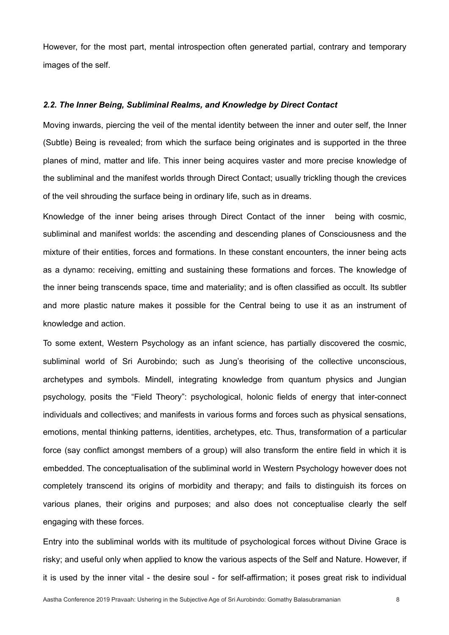However, for the most part, mental introspection often generated partial, contrary and temporary images of the self.

#### *2.2. The Inner Being, Subliminal Realms, and Knowledge by Direct Contact*

Moving inwards, piercing the veil of the mental identity between the inner and outer self, the Inner (Subtle) Being is revealed; from which the surface being originates and is supported in the three planes of mind, matter and life. This inner being acquires vaster and more precise knowledge of the subliminal and the manifest worlds through Direct Contact; usually trickling though the crevices of the veil shrouding the surface being in ordinary life, such as in dreams.

Knowledge of the inner being arises through Direct Contact of the inner being with cosmic, subliminal and manifest worlds: the ascending and descending planes of Consciousness and the mixture of their entities, forces and formations. In these constant encounters, the inner being acts as a dynamo: receiving, emitting and sustaining these formations and forces. The knowledge of the inner being transcends space, time and materiality; and is often classified as occult. Its subtler and more plastic nature makes it possible for the Central being to use it as an instrument of knowledge and action.

To some extent, Western Psychology as an infant science, has partially discovered the cosmic, subliminal world of Sri Aurobindo; such as Jung's theorising of the collective unconscious, archetypes and symbols. Mindell, integrating knowledge from quantum physics and Jungian psychology, posits the "Field Theory": psychological, holonic fields of energy that inter-connect individuals and collectives; and manifests in various forms and forces such as physical sensations, emotions, mental thinking patterns, identities, archetypes, etc. Thus, transformation of a particular force (say conflict amongst members of a group) will also transform the entire field in which it is embedded. The conceptualisation of the subliminal world in Western Psychology however does not completely transcend its origins of morbidity and therapy; and fails to distinguish its forces on various planes, their origins and purposes; and also does not conceptualise clearly the self engaging with these forces.

Entry into the subliminal worlds with its multitude of psychological forces without Divine Grace is risky; and useful only when applied to know the various aspects of the Self and Nature. However, if it is used by the inner vital - the desire soul - for self-affirmation; it poses great risk to individual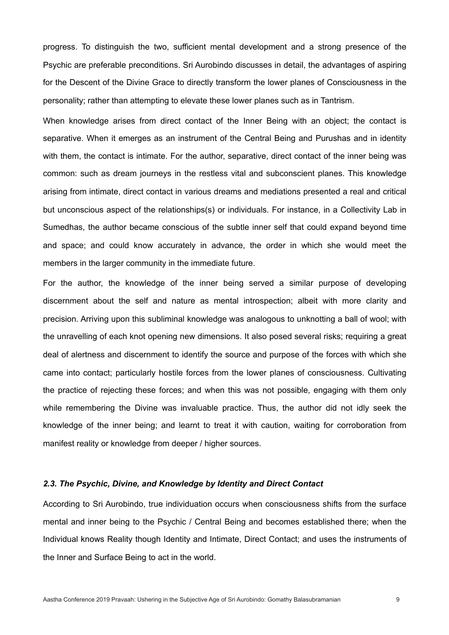progress. To distinguish the two, sufficient mental development and a strong presence of the Psychic are preferable preconditions. Sri Aurobindo discusses in detail, the advantages of aspiring for the Descent of the Divine Grace to directly transform the lower planes of Consciousness in the personality; rather than attempting to elevate these lower planes such as in Tantrism.

When knowledge arises from direct contact of the Inner Being with an object; the contact is separative. When it emerges as an instrument of the Central Being and Purushas and in identity with them, the contact is intimate. For the author, separative, direct contact of the inner being was common: such as dream journeys in the restless vital and subconscient planes. This knowledge arising from intimate, direct contact in various dreams and mediations presented a real and critical but unconscious aspect of the relationships(s) or individuals. For instance, in a Collectivity Lab in Sumedhas, the author became conscious of the subtle inner self that could expand beyond time and space; and could know accurately in advance, the order in which she would meet the members in the larger community in the immediate future.

For the author, the knowledge of the inner being served a similar purpose of developing discernment about the self and nature as mental introspection; albeit with more clarity and precision. Arriving upon this subliminal knowledge was analogous to unknotting a ball of wool; with the unravelling of each knot opening new dimensions. It also posed several risks; requiring a great deal of alertness and discernment to identify the source and purpose of the forces with which she came into contact; particularly hostile forces from the lower planes of consciousness. Cultivating the practice of rejecting these forces; and when this was not possible, engaging with them only while remembering the Divine was invaluable practice. Thus, the author did not idly seek the knowledge of the inner being; and learnt to treat it with caution, waiting for corroboration from manifest reality or knowledge from deeper / higher sources.

## *2.3. The Psychic, Divine, and Knowledge by Identity and Direct Contact*

According to Sri Aurobindo, true individuation occurs when consciousness shifts from the surface mental and inner being to the Psychic / Central Being and becomes established there; when the Individual knows Reality though Identity and Intimate, Direct Contact; and uses the instruments of the Inner and Surface Being to act in the world.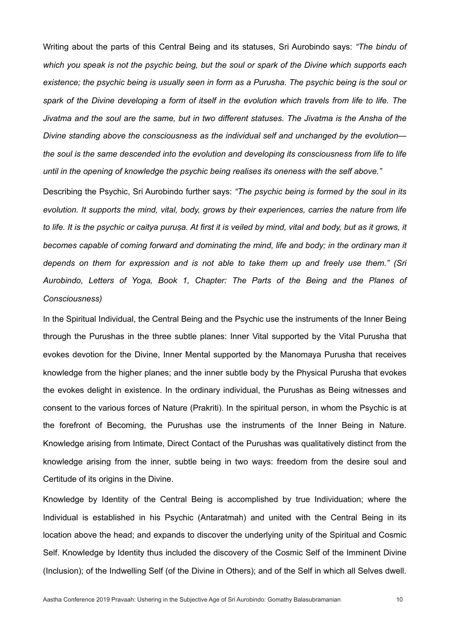Writing about the parts of this Central Being and its statuses, Sri Aurobindo says: *"The bindu of which you speak is not the psychic being, but the soul or spark of the Divine which supports each existence; the psychic being is usually seen in form as a Purusha. The psychic being is the soul or spark of the Divine developing a form of itself in the evolution which travels from life to life. The Jivatma and the soul are the same, but in two different statuses. The Jivatma is the Ansha of the Divine standing above the consciousness as the individual self and unchanged by the evolution the soul is the same descended into the evolution and developing its consciousness from life to life until in the opening of knowledge the psychic being realises its oneness with the self above."* 

Describing the Psychic, Sri Aurobindo further says: *"The psychic being is formed by the soul in its evolution. It supports the mind, vital, body, grows by their experiences, carries the nature from life to life. It is the psychic or caitya puruṣa. At first it is veiled by mind, vital and body, but as it grows, it becomes capable of coming forward and dominating the mind, life and body; in the ordinary man it depends on them for expression and is not able to take them up and freely use them." (Sri Aurobindo, Letters of Yoga, Book 1, Chapter: The Parts of the Being and the Planes of Consciousness)*

In the Spiritual Individual, the Central Being and the Psychic use the instruments of the Inner Being through the Purushas in the three subtle planes: Inner Vital supported by the Vital Purusha that evokes devotion for the Divine, Inner Mental supported by the Manomaya Purusha that receives knowledge from the higher planes; and the inner subtle body by the Physical Purusha that evokes the evokes delight in existence. In the ordinary individual, the Purushas as Being witnesses and consent to the various forces of Nature (Prakriti). In the spiritual person, in whom the Psychic is at the forefront of Becoming, the Purushas use the instruments of the Inner Being in Nature. Knowledge arising from Intimate, Direct Contact of the Purushas was qualitatively distinct from the knowledge arising from the inner, subtle being in two ways: freedom from the desire soul and Certitude of its origins in the Divine.

Knowledge by Identity of the Central Being is accomplished by true Individuation; where the Individual is established in his Psychic (Antaratmah) and united with the Central Being in its location above the head; and expands to discover the underlying unity of the Spiritual and Cosmic Self. Knowledge by Identity thus included the discovery of the Cosmic Self of the Imminent Divine (Inclusion); of the Indwelling Self (of the Divine in Others); and of the Self in which all Selves dwell.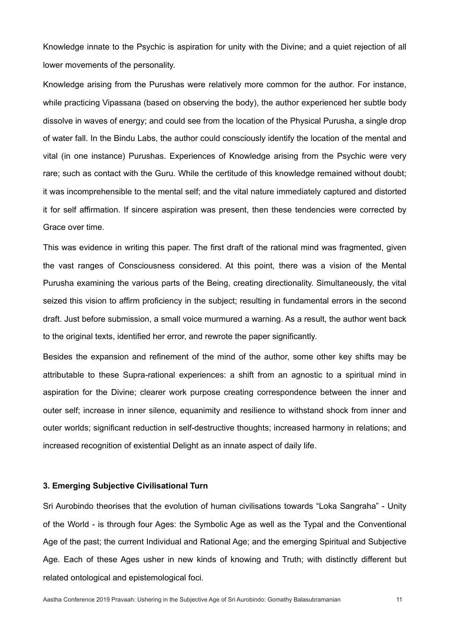Knowledge innate to the Psychic is aspiration for unity with the Divine; and a quiet rejection of all lower movements of the personality.

Knowledge arising from the Purushas were relatively more common for the author. For instance, while practicing Vipassana (based on observing the body), the author experienced her subtle body dissolve in waves of energy; and could see from the location of the Physical Purusha, a single drop of water fall. In the Bindu Labs, the author could consciously identify the location of the mental and vital (in one instance) Purushas. Experiences of Knowledge arising from the Psychic were very rare; such as contact with the Guru. While the certitude of this knowledge remained without doubt; it was incomprehensible to the mental self; and the vital nature immediately captured and distorted it for self affirmation. If sincere aspiration was present, then these tendencies were corrected by Grace over time.

This was evidence in writing this paper. The first draft of the rational mind was fragmented, given the vast ranges of Consciousness considered. At this point, there was a vision of the Mental Purusha examining the various parts of the Being, creating directionality. Simultaneously, the vital seized this vision to affirm proficiency in the subject; resulting in fundamental errors in the second draft. Just before submission, a small voice murmured a warning. As a result, the author went back to the original texts, identified her error, and rewrote the paper significantly.

Besides the expansion and refinement of the mind of the author, some other key shifts may be attributable to these Supra-rational experiences: a shift from an agnostic to a spiritual mind in aspiration for the Divine; clearer work purpose creating correspondence between the inner and outer self; increase in inner silence, equanimity and resilience to withstand shock from inner and outer worlds; significant reduction in self-destructive thoughts; increased harmony in relations; and increased recognition of existential Delight as an innate aspect of daily life.

## **3. Emerging Subjective Civilisational Turn**

Sri Aurobindo theorises that the evolution of human civilisations towards "Loka Sangraha" - Unity of the World - is through four Ages: the Symbolic Age as well as the Typal and the Conventional Age of the past; the current Individual and Rational Age; and the emerging Spiritual and Subjective Age. Each of these Ages usher in new kinds of knowing and Truth; with distinctly different but related ontological and epistemological foci.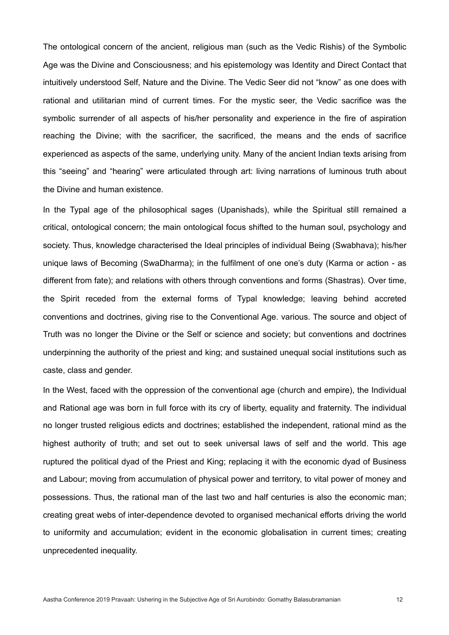The ontological concern of the ancient, religious man (such as the Vedic Rishis) of the Symbolic Age was the Divine and Consciousness; and his epistemology was Identity and Direct Contact that intuitively understood Self, Nature and the Divine. The Vedic Seer did not "know" as one does with rational and utilitarian mind of current times. For the mystic seer, the Vedic sacrifice was the symbolic surrender of all aspects of his/her personality and experience in the fire of aspiration reaching the Divine; with the sacrificer, the sacrificed, the means and the ends of sacrifice experienced as aspects of the same, underlying unity. Many of the ancient Indian texts arising from this "seeing" and "hearing" were articulated through art: living narrations of luminous truth about the Divine and human existence.

In the Typal age of the philosophical sages (Upanishads), while the Spiritual still remained a critical, ontological concern; the main ontological focus shifted to the human soul, psychology and society. Thus, knowledge characterised the Ideal principles of individual Being (Swabhava); his/her unique laws of Becoming (SwaDharma); in the fulfilment of one one's duty (Karma or action - as different from fate); and relations with others through conventions and forms (Shastras). Over time, the Spirit receded from the external forms of Typal knowledge; leaving behind accreted conventions and doctrines, giving rise to the Conventional Age. various. The source and object of Truth was no longer the Divine or the Self or science and society; but conventions and doctrines underpinning the authority of the priest and king; and sustained unequal social institutions such as caste, class and gender.

In the West, faced with the oppression of the conventional age (church and empire), the Individual and Rational age was born in full force with its cry of liberty, equality and fraternity. The individual no longer trusted religious edicts and doctrines; established the independent, rational mind as the highest authority of truth; and set out to seek universal laws of self and the world. This age ruptured the political dyad of the Priest and King; replacing it with the economic dyad of Business and Labour; moving from accumulation of physical power and territory, to vital power of money and possessions. Thus, the rational man of the last two and half centuries is also the economic man; creating great webs of inter-dependence devoted to organised mechanical efforts driving the world to uniformity and accumulation; evident in the economic globalisation in current times; creating unprecedented inequality.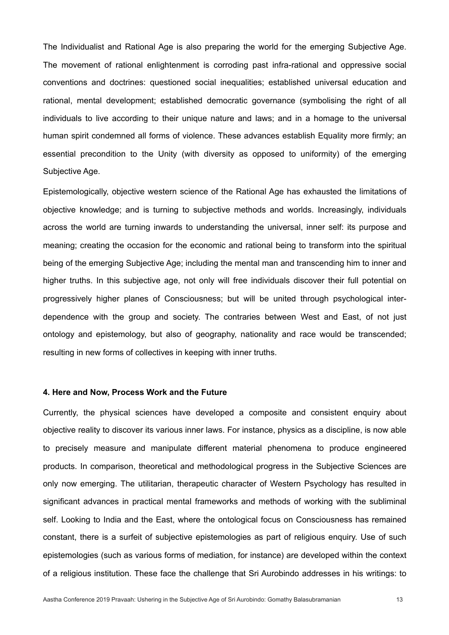The Individualist and Rational Age is also preparing the world for the emerging Subjective Age. The movement of rational enlightenment is corroding past infra-rational and oppressive social conventions and doctrines: questioned social inequalities; established universal education and rational, mental development; established democratic governance (symbolising the right of all individuals to live according to their unique nature and laws; and in a homage to the universal human spirit condemned all forms of violence. These advances establish Equality more firmly; an essential precondition to the Unity (with diversity as opposed to uniformity) of the emerging Subjective Age.

Epistemologically, objective western science of the Rational Age has exhausted the limitations of objective knowledge; and is turning to subjective methods and worlds. Increasingly, individuals across the world are turning inwards to understanding the universal, inner self: its purpose and meaning; creating the occasion for the economic and rational being to transform into the spiritual being of the emerging Subjective Age; including the mental man and transcending him to inner and higher truths. In this subjective age, not only will free individuals discover their full potential on progressively higher planes of Consciousness; but will be united through psychological interdependence with the group and society. The contraries between West and East, of not just ontology and epistemology, but also of geography, nationality and race would be transcended; resulting in new forms of collectives in keeping with inner truths.

### **4. Here and Now, Process Work and the Future**

Currently, the physical sciences have developed a composite and consistent enquiry about objective reality to discover its various inner laws. For instance, physics as a discipline, is now able to precisely measure and manipulate different material phenomena to produce engineered products. In comparison, theoretical and methodological progress in the Subjective Sciences are only now emerging. The utilitarian, therapeutic character of Western Psychology has resulted in significant advances in practical mental frameworks and methods of working with the subliminal self. Looking to India and the East, where the ontological focus on Consciousness has remained constant, there is a surfeit of subjective epistemologies as part of religious enquiry. Use of such epistemologies (such as various forms of mediation, for instance) are developed within the context of a religious institution. These face the challenge that Sri Aurobindo addresses in his writings: to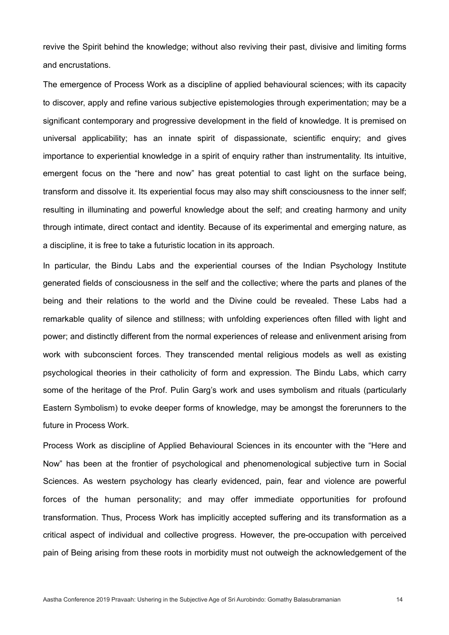revive the Spirit behind the knowledge; without also reviving their past, divisive and limiting forms and encrustations.

The emergence of Process Work as a discipline of applied behavioural sciences; with its capacity to discover, apply and refine various subjective epistemologies through experimentation; may be a significant contemporary and progressive development in the field of knowledge. It is premised on universal applicability; has an innate spirit of dispassionate, scientific enquiry; and gives importance to experiential knowledge in a spirit of enquiry rather than instrumentality. Its intuitive, emergent focus on the "here and now" has great potential to cast light on the surface being, transform and dissolve it. Its experiential focus may also may shift consciousness to the inner self; resulting in illuminating and powerful knowledge about the self; and creating harmony and unity through intimate, direct contact and identity. Because of its experimental and emerging nature, as a discipline, it is free to take a futuristic location in its approach.

In particular, the Bindu Labs and the experiential courses of the Indian Psychology Institute generated fields of consciousness in the self and the collective; where the parts and planes of the being and their relations to the world and the Divine could be revealed. These Labs had a remarkable quality of silence and stillness; with unfolding experiences often filled with light and power; and distinctly different from the normal experiences of release and enlivenment arising from work with subconscient forces. They transcended mental religious models as well as existing psychological theories in their catholicity of form and expression. The Bindu Labs, which carry some of the heritage of the Prof. Pulin Garg's work and uses symbolism and rituals (particularly Eastern Symbolism) to evoke deeper forms of knowledge, may be amongst the forerunners to the future in Process Work.

Process Work as discipline of Applied Behavioural Sciences in its encounter with the "Here and Now" has been at the frontier of psychological and phenomenological subjective turn in Social Sciences. As western psychology has clearly evidenced, pain, fear and violence are powerful forces of the human personality; and may offer immediate opportunities for profound transformation. Thus, Process Work has implicitly accepted suffering and its transformation as a critical aspect of individual and collective progress. However, the pre-occupation with perceived pain of Being arising from these roots in morbidity must not outweigh the acknowledgement of the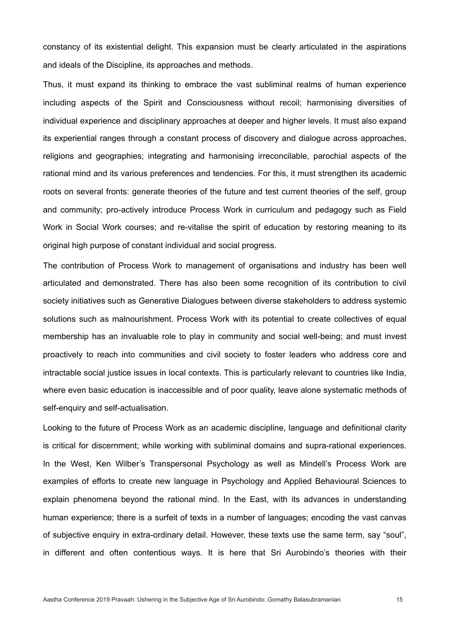constancy of its existential delight. This expansion must be clearly articulated in the aspirations and ideals of the Discipline, its approaches and methods.

Thus, it must expand its thinking to embrace the vast subliminal realms of human experience including aspects of the Spirit and Consciousness without recoil; harmonising diversities of individual experience and disciplinary approaches at deeper and higher levels. It must also expand its experiential ranges through a constant process of discovery and dialogue across approaches, religions and geographies; integrating and harmonising irreconcilable, parochial aspects of the rational mind and its various preferences and tendencies. For this, it must strengthen its academic roots on several fronts: generate theories of the future and test current theories of the self, group and community; pro-actively introduce Process Work in curriculum and pedagogy such as Field Work in Social Work courses; and re-vitalise the spirit of education by restoring meaning to its original high purpose of constant individual and social progress.

The contribution of Process Work to management of organisations and industry has been well articulated and demonstrated. There has also been some recognition of its contribution to civil society initiatives such as Generative Dialogues between diverse stakeholders to address systemic solutions such as malnourishment. Process Work with its potential to create collectives of equal membership has an invaluable role to play in community and social well-being; and must invest proactively to reach into communities and civil society to foster leaders who address core and intractable social justice issues in local contexts. This is particularly relevant to countries like India, where even basic education is inaccessible and of poor quality, leave alone systematic methods of self-enquiry and self-actualisation.

Looking to the future of Process Work as an academic discipline, language and definitional clarity is critical for discernment; while working with subliminal domains and supra-rational experiences. In the West, Ken Wilber's Transpersonal Psychology as well as Mindell's Process Work are examples of efforts to create new language in Psychology and Applied Behavioural Sciences to explain phenomena beyond the rational mind. In the East, with its advances in understanding human experience; there is a surfeit of texts in a number of languages; encoding the vast canvas of subjective enquiry in extra-ordinary detail. However, these texts use the same term, say "soul", in different and often contentious ways. It is here that Sri Aurobindo's theories with their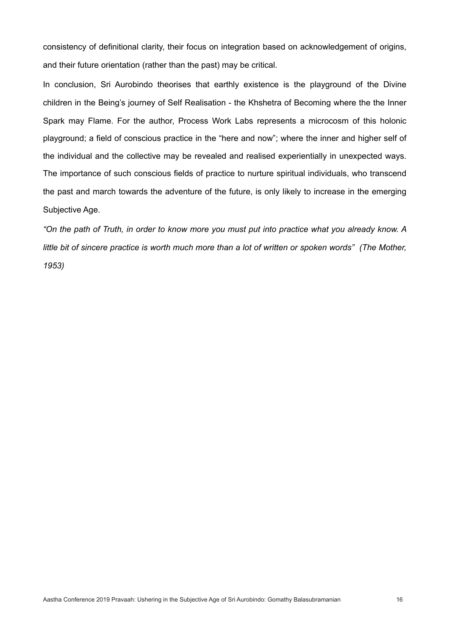consistency of definitional clarity, their focus on integration based on acknowledgement of origins, and their future orientation (rather than the past) may be critical.

In conclusion, Sri Aurobindo theorises that earthly existence is the playground of the Divine children in the Being's journey of Self Realisation - the Khshetra of Becoming where the the Inner Spark may Flame. For the author, Process Work Labs represents a microcosm of this holonic playground; a field of conscious practice in the "here and now"; where the inner and higher self of the individual and the collective may be revealed and realised experientially in unexpected ways. The importance of such conscious fields of practice to nurture spiritual individuals, who transcend the past and march towards the adventure of the future, is only likely to increase in the emerging Subjective Age.

*"On the path of Truth, in order to know more you must put into practice what you already know. A*  little bit of sincere practice is worth much more than a lot of written or spoken words" (The Mother, *1953)*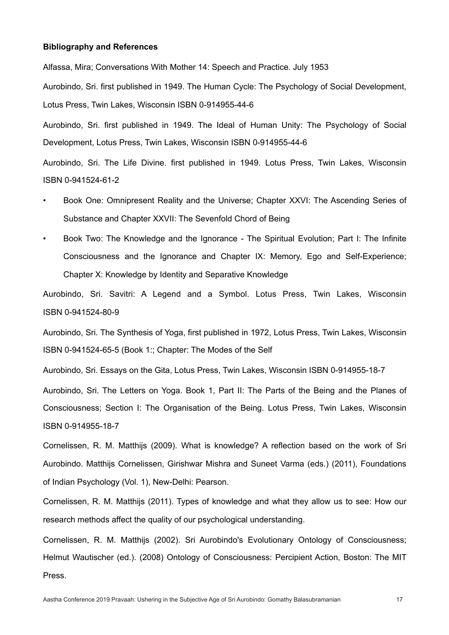#### **Bibliography and References**

Alfassa, Mira; Conversations With Mother 14: Speech and Practice. July 1953

Aurobindo, Sri. first published in 1949. The Human Cycle: The Psychology of Social Development, Lotus Press, Twin Lakes, Wisconsin [ISBN 0-914955-44-6](http://en.wikipedia.org/wiki/Special:BookSources/0914955446)

Aurobindo, Sri. first published in 1949. The Ideal of Human Unity: The Psychology of Social Development, Lotus Press, Twin Lakes, Wisconsin [ISBN 0-914955-44-6](http://en.wikipedia.org/wiki/Special:BookSources/0914955446)

Aurobindo, Sri. The Life Divine. first published in 1949. Lotus Press, Twin Lakes, Wisconsin [ISBN](https://en.wikipedia.org/wiki/International_Standard_Book_Number) [0-941524-61-2](https://en.wikipedia.org/wiki/Special:BookSources/0-941524-61-2) 

- Book One: Omnipresent Reality and the Universe; Chapter XXVI: The Ascending Series of Substance and Chapter XXVII: The Sevenfold Chord of Being
- Book Two: The Knowledge and the Ignorance The Spiritual Evolution; Part I: The Infinite Consciousness and the Ignorance and Chapter IX: Memory, Ego and Self-Experience; Chapter X: Knowledge by Identity and Separative Knowledge

Aurobindo, Sri. Savitri: A Legend and a Symbol. Lotus Press, Twin Lakes, Wisconsin [ISBN](https://en.wikipedia.org/wiki/International_Standard_Book_Number) [0-941524-80-9](https://en.wikipedia.org/wiki/Special:BookSources/0-941524-80-9) 

Aurobindo, Sri. The Synthesis of Yoga, first published in 1972, Lotus Press, Twin Lakes, Wisconsin [ISBN](https://en.wikipedia.org/wiki/International_Standard_Book_Number) [0-941524-65-5](https://en.wikipedia.org/wiki/Special:BookSources/0-941524-65-5) (Book 1:; Chapter: The Modes of the Self

Aurobindo, Sri. Essays on the Gita, Lotus Press, Twin Lakes, Wisconsin [ISBN](https://en.wikipedia.org/wiki/International_Standard_Book_Number) [0-914955-18-7](https://en.wikipedia.org/wiki/Special:BookSources/0-914955-18-7)

Aurobindo, Sri. The Letters on Yoga. Book 1, Part II: The Parts of the Being and the Planes of Consciousness; Section I: The Organisation of the Being. Lotus Press, Twin Lakes, Wisconsin [ISBN](https://en.wikipedia.org/wiki/International_Standard_Book_Number) [0-914955-18-7](https://en.wikipedia.org/wiki/Special:BookSources/0-914955-18-7) 

Cornelissen, R. M. Matthijs (2009). [What is knowledge? A reflection based on the work of Sri](https://www.ipi.org.in/texts/matthijs/mc-knowledge-sa.php) [Aurobindo](https://www.ipi.org.in/texts/matthijs/mc-knowledge-sa.php). Matthijs Cornelissen, Girishwar Mishra and Suneet Varma (eds.) (2011), Foundations of Indian Psychology (Vol. 1), New-Delhi: Pearson.

Cornelissen, R. M. Matthijs (2011). [Types of knowledge and what they allow us to see: How our](https://www.ipi.org.in/texts/matthijs/mc-tok-ppb.php) [research methods affect the quality of our psychological understanding.](https://www.ipi.org.in/texts/matthijs/mc-tok-ppb.php) 

Cornelissen, R. M. Matthijs (2002). [Sri Aurobindo's Evolutionary Ontology of Consciousness](https://www.ipi.org.in/texts/matthijs/mc-consciousness-mit.php); Helmut Wautischer (ed.). (2008) Ontology of Consciousness: Percipient Action, Boston: The MIT Press.